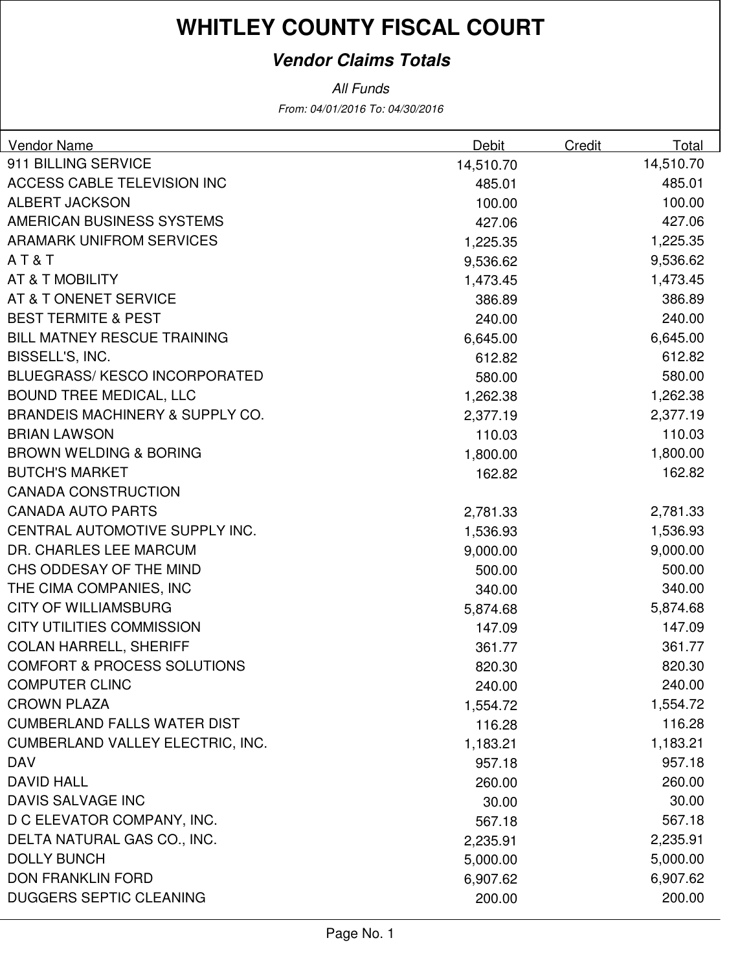### **Vendor Claims Totals**

From: 04/01/2016 To: 04/30/2016 All Funds

| 911 BILLING SERVICE<br>14,510.70<br>14,510.70<br>ACCESS CABLE TELEVISION INC<br>485.01<br>485.01<br><b>ALBERT JACKSON</b><br>100.00<br>100.00<br>AMERICAN BUSINESS SYSTEMS<br>427.06<br>427.06<br><b>ARAMARK UNIFROM SERVICES</b><br>1,225.35<br>1,225.35<br>AT&T<br>9,536.62<br>9,536.62<br>AT & T MOBILITY<br>1,473.45<br>1,473.45<br>386.89<br>AT & T ONENET SERVICE<br>386.89<br><b>BEST TERMITE &amp; PEST</b><br>240.00<br>240.00<br><b>BILL MATNEY RESCUE TRAINING</b><br>6,645.00<br>6,645.00<br>BISSELL'S, INC.<br>612.82<br>612.82<br><b>BLUEGRASS/ KESCO INCORPORATED</b><br>580.00<br>580.00<br><b>BOUND TREE MEDICAL, LLC</b><br>1,262.38<br>1,262.38<br><b>BRANDEIS MACHINERY &amp; SUPPLY CO.</b><br>2,377.19<br>2,377.19<br><b>BRIAN LAWSON</b><br>110.03<br>110.03<br><b>BROWN WELDING &amp; BORING</b><br>1,800.00<br>1,800.00<br><b>BUTCH'S MARKET</b><br>162.82<br>162.82<br><b>CANADA CONSTRUCTION</b><br><b>CANADA AUTO PARTS</b><br>2,781.33<br>2,781.33<br>CENTRAL AUTOMOTIVE SUPPLY INC.<br>1,536.93<br>1,536.93<br>DR. CHARLES LEE MARCUM<br>9,000.00<br>9,000.00<br>CHS ODDESAY OF THE MIND<br>500.00<br>500.00<br>THE CIMA COMPANIES, INC<br>340.00<br>340.00<br><b>CITY OF WILLIAMSBURG</b><br>5,874.68<br>5,874.68<br><b>CITY UTILITIES COMMISSION</b><br>147.09<br>147.09<br><b>COLAN HARRELL, SHERIFF</b><br>361.77<br>361.77<br><b>COMFORT &amp; PROCESS SOLUTIONS</b><br>820.30<br>820.30<br><b>COMPUTER CLINC</b><br>240.00<br>240.00<br><b>CROWN PLAZA</b><br>1,554.72<br>1,554.72<br><b>CUMBERLAND FALLS WATER DIST</b><br>116.28<br>116.28<br>CUMBERLAND VALLEY ELECTRIC, INC.<br>1,183.21<br>1,183.21<br><b>DAV</b><br>957.18<br>957.18 | Vendor Name | Debit | Credit | Total |
|--------------------------------------------------------------------------------------------------------------------------------------------------------------------------------------------------------------------------------------------------------------------------------------------------------------------------------------------------------------------------------------------------------------------------------------------------------------------------------------------------------------------------------------------------------------------------------------------------------------------------------------------------------------------------------------------------------------------------------------------------------------------------------------------------------------------------------------------------------------------------------------------------------------------------------------------------------------------------------------------------------------------------------------------------------------------------------------------------------------------------------------------------------------------------------------------------------------------------------------------------------------------------------------------------------------------------------------------------------------------------------------------------------------------------------------------------------------------------------------------------------------------------------------------------------------------------------------------------------------------------------------------------------------------------------|-------------|-------|--------|-------|
|                                                                                                                                                                                                                                                                                                                                                                                                                                                                                                                                                                                                                                                                                                                                                                                                                                                                                                                                                                                                                                                                                                                                                                                                                                                                                                                                                                                                                                                                                                                                                                                                                                                                                |             |       |        |       |
|                                                                                                                                                                                                                                                                                                                                                                                                                                                                                                                                                                                                                                                                                                                                                                                                                                                                                                                                                                                                                                                                                                                                                                                                                                                                                                                                                                                                                                                                                                                                                                                                                                                                                |             |       |        |       |
|                                                                                                                                                                                                                                                                                                                                                                                                                                                                                                                                                                                                                                                                                                                                                                                                                                                                                                                                                                                                                                                                                                                                                                                                                                                                                                                                                                                                                                                                                                                                                                                                                                                                                |             |       |        |       |
|                                                                                                                                                                                                                                                                                                                                                                                                                                                                                                                                                                                                                                                                                                                                                                                                                                                                                                                                                                                                                                                                                                                                                                                                                                                                                                                                                                                                                                                                                                                                                                                                                                                                                |             |       |        |       |
|                                                                                                                                                                                                                                                                                                                                                                                                                                                                                                                                                                                                                                                                                                                                                                                                                                                                                                                                                                                                                                                                                                                                                                                                                                                                                                                                                                                                                                                                                                                                                                                                                                                                                |             |       |        |       |
|                                                                                                                                                                                                                                                                                                                                                                                                                                                                                                                                                                                                                                                                                                                                                                                                                                                                                                                                                                                                                                                                                                                                                                                                                                                                                                                                                                                                                                                                                                                                                                                                                                                                                |             |       |        |       |
|                                                                                                                                                                                                                                                                                                                                                                                                                                                                                                                                                                                                                                                                                                                                                                                                                                                                                                                                                                                                                                                                                                                                                                                                                                                                                                                                                                                                                                                                                                                                                                                                                                                                                |             |       |        |       |
|                                                                                                                                                                                                                                                                                                                                                                                                                                                                                                                                                                                                                                                                                                                                                                                                                                                                                                                                                                                                                                                                                                                                                                                                                                                                                                                                                                                                                                                                                                                                                                                                                                                                                |             |       |        |       |
|                                                                                                                                                                                                                                                                                                                                                                                                                                                                                                                                                                                                                                                                                                                                                                                                                                                                                                                                                                                                                                                                                                                                                                                                                                                                                                                                                                                                                                                                                                                                                                                                                                                                                |             |       |        |       |
|                                                                                                                                                                                                                                                                                                                                                                                                                                                                                                                                                                                                                                                                                                                                                                                                                                                                                                                                                                                                                                                                                                                                                                                                                                                                                                                                                                                                                                                                                                                                                                                                                                                                                |             |       |        |       |
|                                                                                                                                                                                                                                                                                                                                                                                                                                                                                                                                                                                                                                                                                                                                                                                                                                                                                                                                                                                                                                                                                                                                                                                                                                                                                                                                                                                                                                                                                                                                                                                                                                                                                |             |       |        |       |
|                                                                                                                                                                                                                                                                                                                                                                                                                                                                                                                                                                                                                                                                                                                                                                                                                                                                                                                                                                                                                                                                                                                                                                                                                                                                                                                                                                                                                                                                                                                                                                                                                                                                                |             |       |        |       |
|                                                                                                                                                                                                                                                                                                                                                                                                                                                                                                                                                                                                                                                                                                                                                                                                                                                                                                                                                                                                                                                                                                                                                                                                                                                                                                                                                                                                                                                                                                                                                                                                                                                                                |             |       |        |       |
|                                                                                                                                                                                                                                                                                                                                                                                                                                                                                                                                                                                                                                                                                                                                                                                                                                                                                                                                                                                                                                                                                                                                                                                                                                                                                                                                                                                                                                                                                                                                                                                                                                                                                |             |       |        |       |
|                                                                                                                                                                                                                                                                                                                                                                                                                                                                                                                                                                                                                                                                                                                                                                                                                                                                                                                                                                                                                                                                                                                                                                                                                                                                                                                                                                                                                                                                                                                                                                                                                                                                                |             |       |        |       |
|                                                                                                                                                                                                                                                                                                                                                                                                                                                                                                                                                                                                                                                                                                                                                                                                                                                                                                                                                                                                                                                                                                                                                                                                                                                                                                                                                                                                                                                                                                                                                                                                                                                                                |             |       |        |       |
|                                                                                                                                                                                                                                                                                                                                                                                                                                                                                                                                                                                                                                                                                                                                                                                                                                                                                                                                                                                                                                                                                                                                                                                                                                                                                                                                                                                                                                                                                                                                                                                                                                                                                |             |       |        |       |
|                                                                                                                                                                                                                                                                                                                                                                                                                                                                                                                                                                                                                                                                                                                                                                                                                                                                                                                                                                                                                                                                                                                                                                                                                                                                                                                                                                                                                                                                                                                                                                                                                                                                                |             |       |        |       |
|                                                                                                                                                                                                                                                                                                                                                                                                                                                                                                                                                                                                                                                                                                                                                                                                                                                                                                                                                                                                                                                                                                                                                                                                                                                                                                                                                                                                                                                                                                                                                                                                                                                                                |             |       |        |       |
|                                                                                                                                                                                                                                                                                                                                                                                                                                                                                                                                                                                                                                                                                                                                                                                                                                                                                                                                                                                                                                                                                                                                                                                                                                                                                                                                                                                                                                                                                                                                                                                                                                                                                |             |       |        |       |
|                                                                                                                                                                                                                                                                                                                                                                                                                                                                                                                                                                                                                                                                                                                                                                                                                                                                                                                                                                                                                                                                                                                                                                                                                                                                                                                                                                                                                                                                                                                                                                                                                                                                                |             |       |        |       |
|                                                                                                                                                                                                                                                                                                                                                                                                                                                                                                                                                                                                                                                                                                                                                                                                                                                                                                                                                                                                                                                                                                                                                                                                                                                                                                                                                                                                                                                                                                                                                                                                                                                                                |             |       |        |       |
|                                                                                                                                                                                                                                                                                                                                                                                                                                                                                                                                                                                                                                                                                                                                                                                                                                                                                                                                                                                                                                                                                                                                                                                                                                                                                                                                                                                                                                                                                                                                                                                                                                                                                |             |       |        |       |
|                                                                                                                                                                                                                                                                                                                                                                                                                                                                                                                                                                                                                                                                                                                                                                                                                                                                                                                                                                                                                                                                                                                                                                                                                                                                                                                                                                                                                                                                                                                                                                                                                                                                                |             |       |        |       |
|                                                                                                                                                                                                                                                                                                                                                                                                                                                                                                                                                                                                                                                                                                                                                                                                                                                                                                                                                                                                                                                                                                                                                                                                                                                                                                                                                                                                                                                                                                                                                                                                                                                                                |             |       |        |       |
|                                                                                                                                                                                                                                                                                                                                                                                                                                                                                                                                                                                                                                                                                                                                                                                                                                                                                                                                                                                                                                                                                                                                                                                                                                                                                                                                                                                                                                                                                                                                                                                                                                                                                |             |       |        |       |
|                                                                                                                                                                                                                                                                                                                                                                                                                                                                                                                                                                                                                                                                                                                                                                                                                                                                                                                                                                                                                                                                                                                                                                                                                                                                                                                                                                                                                                                                                                                                                                                                                                                                                |             |       |        |       |
|                                                                                                                                                                                                                                                                                                                                                                                                                                                                                                                                                                                                                                                                                                                                                                                                                                                                                                                                                                                                                                                                                                                                                                                                                                                                                                                                                                                                                                                                                                                                                                                                                                                                                |             |       |        |       |
|                                                                                                                                                                                                                                                                                                                                                                                                                                                                                                                                                                                                                                                                                                                                                                                                                                                                                                                                                                                                                                                                                                                                                                                                                                                                                                                                                                                                                                                                                                                                                                                                                                                                                |             |       |        |       |
|                                                                                                                                                                                                                                                                                                                                                                                                                                                                                                                                                                                                                                                                                                                                                                                                                                                                                                                                                                                                                                                                                                                                                                                                                                                                                                                                                                                                                                                                                                                                                                                                                                                                                |             |       |        |       |
|                                                                                                                                                                                                                                                                                                                                                                                                                                                                                                                                                                                                                                                                                                                                                                                                                                                                                                                                                                                                                                                                                                                                                                                                                                                                                                                                                                                                                                                                                                                                                                                                                                                                                |             |       |        |       |
|                                                                                                                                                                                                                                                                                                                                                                                                                                                                                                                                                                                                                                                                                                                                                                                                                                                                                                                                                                                                                                                                                                                                                                                                                                                                                                                                                                                                                                                                                                                                                                                                                                                                                |             |       |        |       |
| <b>DAVID HALL</b><br>260.00<br>260.00                                                                                                                                                                                                                                                                                                                                                                                                                                                                                                                                                                                                                                                                                                                                                                                                                                                                                                                                                                                                                                                                                                                                                                                                                                                                                                                                                                                                                                                                                                                                                                                                                                          |             |       |        |       |
| DAVIS SALVAGE INC<br>30.00<br>30.00                                                                                                                                                                                                                                                                                                                                                                                                                                                                                                                                                                                                                                                                                                                                                                                                                                                                                                                                                                                                                                                                                                                                                                                                                                                                                                                                                                                                                                                                                                                                                                                                                                            |             |       |        |       |
| D C ELEVATOR COMPANY, INC.<br>567.18<br>567.18                                                                                                                                                                                                                                                                                                                                                                                                                                                                                                                                                                                                                                                                                                                                                                                                                                                                                                                                                                                                                                                                                                                                                                                                                                                                                                                                                                                                                                                                                                                                                                                                                                 |             |       |        |       |
| DELTA NATURAL GAS CO., INC.<br>2,235.91<br>2,235.91                                                                                                                                                                                                                                                                                                                                                                                                                                                                                                                                                                                                                                                                                                                                                                                                                                                                                                                                                                                                                                                                                                                                                                                                                                                                                                                                                                                                                                                                                                                                                                                                                            |             |       |        |       |
| <b>DOLLY BUNCH</b><br>5,000.00<br>5,000.00                                                                                                                                                                                                                                                                                                                                                                                                                                                                                                                                                                                                                                                                                                                                                                                                                                                                                                                                                                                                                                                                                                                                                                                                                                                                                                                                                                                                                                                                                                                                                                                                                                     |             |       |        |       |
| <b>DON FRANKLIN FORD</b><br>6,907.62<br>6,907.62                                                                                                                                                                                                                                                                                                                                                                                                                                                                                                                                                                                                                                                                                                                                                                                                                                                                                                                                                                                                                                                                                                                                                                                                                                                                                                                                                                                                                                                                                                                                                                                                                               |             |       |        |       |
| <b>DUGGERS SEPTIC CLEANING</b><br>200.00<br>200.00                                                                                                                                                                                                                                                                                                                                                                                                                                                                                                                                                                                                                                                                                                                                                                                                                                                                                                                                                                                                                                                                                                                                                                                                                                                                                                                                                                                                                                                                                                                                                                                                                             |             |       |        |       |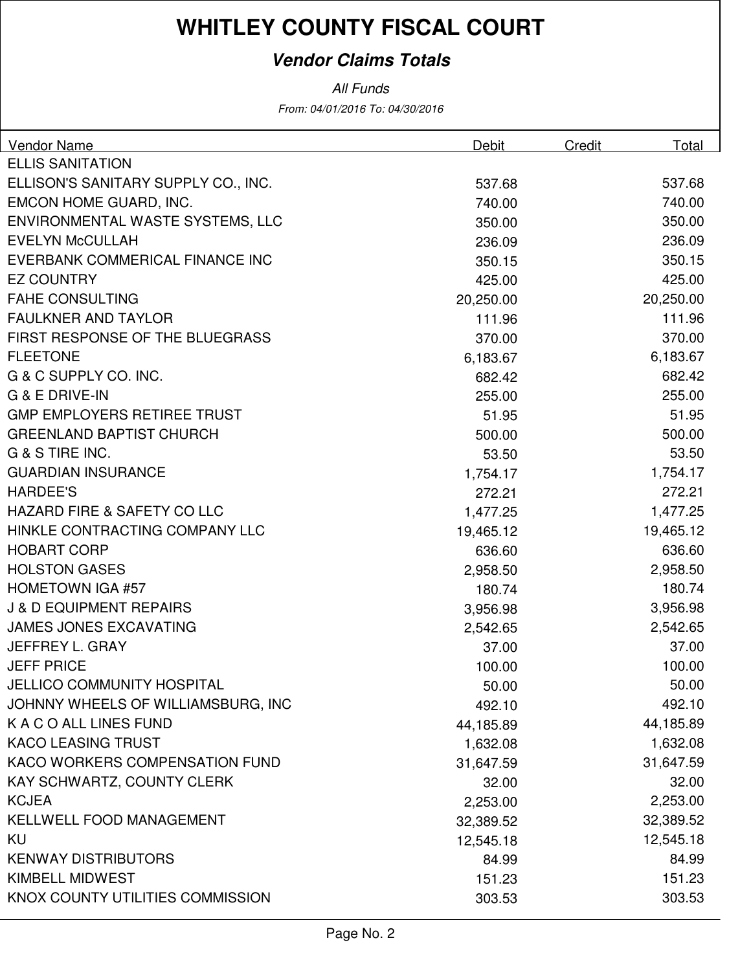### **Vendor Claims Totals**

All Funds

From: 04/01/2016 To: 04/30/2016

| Vendor Name                            | Debit     | Credit | Total     |
|----------------------------------------|-----------|--------|-----------|
| <b>ELLIS SANITATION</b>                |           |        |           |
| ELLISON'S SANITARY SUPPLY CO., INC.    | 537.68    |        | 537.68    |
| EMCON HOME GUARD, INC.                 | 740.00    |        | 740.00    |
| ENVIRONMENTAL WASTE SYSTEMS, LLC       | 350.00    |        | 350.00    |
| <b>EVELYN McCULLAH</b>                 | 236.09    |        | 236.09    |
| EVERBANK COMMERICAL FINANCE INC        | 350.15    |        | 350.15    |
| <b>EZ COUNTRY</b>                      | 425.00    |        | 425.00    |
| <b>FAHE CONSULTING</b>                 | 20,250.00 |        | 20,250.00 |
| <b>FAULKNER AND TAYLOR</b>             | 111.96    |        | 111.96    |
| FIRST RESPONSE OF THE BLUEGRASS        | 370.00    |        | 370.00    |
| <b>FLEETONE</b>                        | 6,183.67  |        | 6,183.67  |
| G & C SUPPLY CO. INC.                  | 682.42    |        | 682.42    |
| G & E DRIVE-IN                         | 255.00    |        | 255.00    |
| <b>GMP EMPLOYERS RETIREE TRUST</b>     | 51.95     |        | 51.95     |
| <b>GREENLAND BAPTIST CHURCH</b>        | 500.00    |        | 500.00    |
| G & S TIRE INC.                        | 53.50     |        | 53.50     |
| <b>GUARDIAN INSURANCE</b>              | 1,754.17  |        | 1,754.17  |
| <b>HARDEE'S</b>                        | 272.21    |        | 272.21    |
| <b>HAZARD FIRE &amp; SAFETY CO LLC</b> | 1,477.25  |        | 1,477.25  |
| HINKLE CONTRACTING COMPANY LLC         | 19,465.12 |        | 19,465.12 |
| <b>HOBART CORP</b>                     | 636.60    |        | 636.60    |
| <b>HOLSTON GASES</b>                   | 2,958.50  |        | 2,958.50  |
| <b>HOMETOWN IGA #57</b>                | 180.74    |        | 180.74    |
| <b>J &amp; D EQUIPMENT REPAIRS</b>     | 3,956.98  |        | 3,956.98  |
| <b>JAMES JONES EXCAVATING</b>          | 2,542.65  |        | 2,542.65  |
| JEFFREY L. GRAY                        | 37.00     |        | 37.00     |
| <b>JEFF PRICE</b>                      | 100.00    |        | 100.00    |
| <b>JELLICO COMMUNITY HOSPITAL</b>      | 50.00     |        | 50.00     |
| JOHNNY WHEELS OF WILLIAMSBURG, INC     | 492.10    |        | 492.10    |
| K A C O ALL LINES FUND                 | 44,185.89 |        | 44,185.89 |
| <b>KACO LEASING TRUST</b>              | 1,632.08  |        | 1,632.08  |
| KACO WORKERS COMPENSATION FUND         | 31,647.59 |        | 31,647.59 |
| KAY SCHWARTZ, COUNTY CLERK             | 32.00     |        | 32.00     |
| <b>KCJEA</b>                           | 2,253.00  |        | 2,253.00  |
| <b>KELLWELL FOOD MANAGEMENT</b>        | 32,389.52 |        | 32,389.52 |
| <b>KU</b>                              | 12,545.18 |        | 12,545.18 |
| <b>KENWAY DISTRIBUTORS</b>             | 84.99     |        | 84.99     |
| <b>KIMBELL MIDWEST</b>                 | 151.23    |        | 151.23    |
| KNOX COUNTY UTILITIES COMMISSION       | 303.53    |        | 303.53    |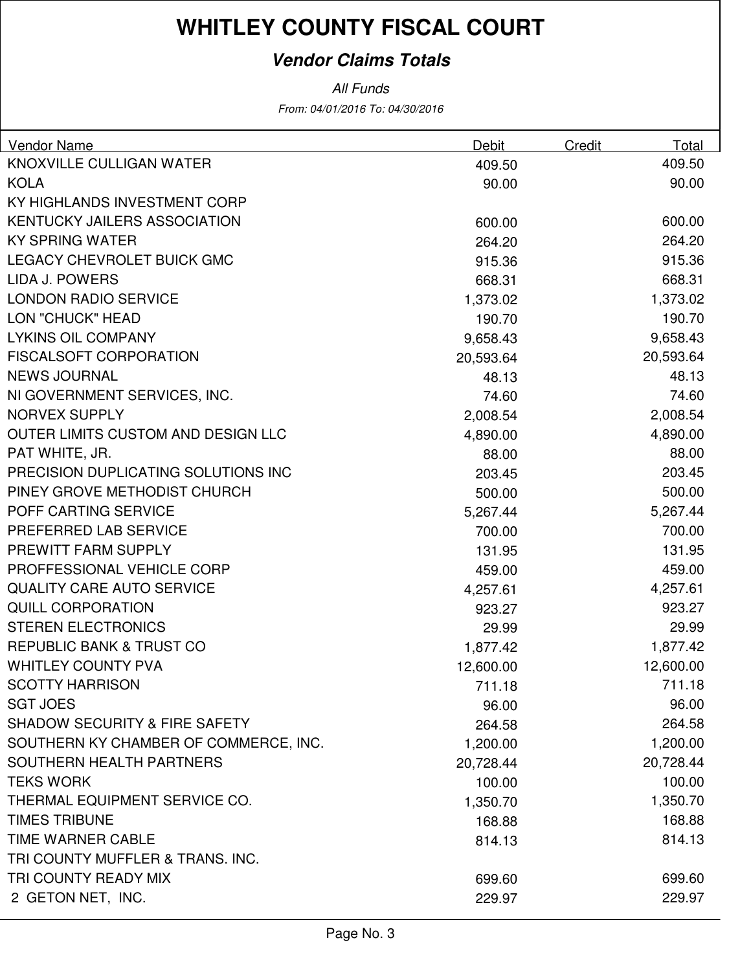### **Vendor Claims Totals**

From: 04/01/2016 To: 04/30/2016 All Funds

| <b>Vendor Name</b>                       | Debit     | Credit | Total     |
|------------------------------------------|-----------|--------|-----------|
| KNOXVILLE CULLIGAN WATER                 | 409.50    |        | 409.50    |
| <b>KOLA</b>                              | 90.00     |        | 90.00     |
| KY HIGHLANDS INVESTMENT CORP             |           |        |           |
| <b>KENTUCKY JAILERS ASSOCIATION</b>      | 600.00    |        | 600.00    |
| <b>KY SPRING WATER</b>                   | 264.20    |        | 264.20    |
| LEGACY CHEVROLET BUICK GMC               | 915.36    |        | 915.36    |
| LIDA J. POWERS                           | 668.31    |        | 668.31    |
| <b>LONDON RADIO SERVICE</b>              | 1,373.02  |        | 1,373.02  |
| LON "CHUCK" HEAD                         | 190.70    |        | 190.70    |
| <b>LYKINS OIL COMPANY</b>                | 9,658.43  |        | 9,658.43  |
| <b>FISCALSOFT CORPORATION</b>            | 20,593.64 |        | 20,593.64 |
| <b>NEWS JOURNAL</b>                      | 48.13     |        | 48.13     |
| NI GOVERNMENT SERVICES, INC.             | 74.60     |        | 74.60     |
| <b>NORVEX SUPPLY</b>                     | 2,008.54  |        | 2,008.54  |
| OUTER LIMITS CUSTOM AND DESIGN LLC       | 4,890.00  |        | 4,890.00  |
| PAT WHITE, JR.                           | 88.00     |        | 88.00     |
| PRECISION DUPLICATING SOLUTIONS INC      | 203.45    |        | 203.45    |
| PINEY GROVE METHODIST CHURCH             | 500.00    |        | 500.00    |
| POFF CARTING SERVICE                     | 5,267.44  |        | 5,267.44  |
| PREFERRED LAB SERVICE                    | 700.00    |        | 700.00    |
| PREWITT FARM SUPPLY                      | 131.95    |        | 131.95    |
| PROFFESSIONAL VEHICLE CORP               | 459.00    |        | 459.00    |
| <b>QUALITY CARE AUTO SERVICE</b>         | 4,257.61  |        | 4,257.61  |
| <b>QUILL CORPORATION</b>                 | 923.27    |        | 923.27    |
| <b>STEREN ELECTRONICS</b>                | 29.99     |        | 29.99     |
| REPUBLIC BANK & TRUST CO                 | 1,877.42  |        | 1,877.42  |
| <b>WHITLEY COUNTY PVA</b>                | 12,600.00 |        | 12,600.00 |
| <b>SCOTTY HARRISON</b>                   | 711.18    |        | 711.18    |
| <b>SGT JOES</b>                          | 96.00     |        | 96.00     |
| <b>SHADOW SECURITY &amp; FIRE SAFETY</b> | 264.58    |        | 264.58    |
| SOUTHERN KY CHAMBER OF COMMERCE, INC.    | 1,200.00  |        | 1,200.00  |
| SOUTHERN HEALTH PARTNERS                 | 20,728.44 |        | 20,728.44 |
| <b>TEKS WORK</b>                         | 100.00    |        | 100.00    |
| THERMAL EQUIPMENT SERVICE CO.            | 1,350.70  |        | 1,350.70  |
| <b>TIMES TRIBUNE</b>                     | 168.88    |        | 168.88    |
| TIME WARNER CABLE                        | 814.13    |        | 814.13    |
| TRI COUNTY MUFFLER & TRANS. INC.         |           |        |           |
| TRI COUNTY READY MIX                     | 699.60    |        | 699.60    |
| 2 GETON NET, INC.                        | 229.97    |        | 229.97    |